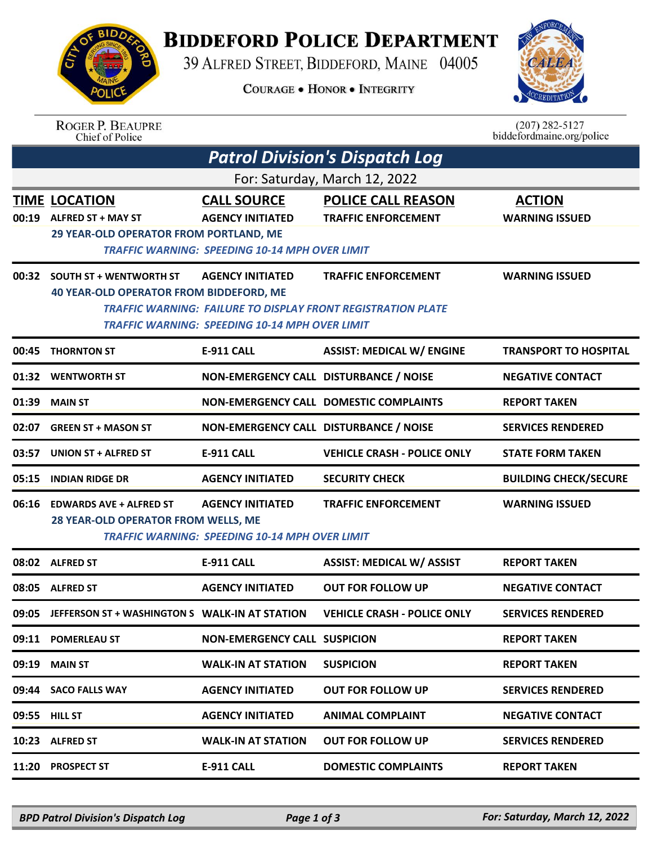## **BIDDEFORD POLICE DEPARTMENT**

39 ALFRED STREET, BIDDEFORD, MAINE 04005

**COURAGE . HONOR . INTEGRITY** 



| <b>ROGER P. BEAUPRE</b> |
|-------------------------|
| Chief of Police         |

 $(207)$  282-5127<br>biddefordmaine.org/police

|                               | <b>Patrol Division's Dispatch Log</b>                                                       |                                                                                                        |                                                                                                   |                                        |  |  |  |  |  |
|-------------------------------|---------------------------------------------------------------------------------------------|--------------------------------------------------------------------------------------------------------|---------------------------------------------------------------------------------------------------|----------------------------------------|--|--|--|--|--|
| For: Saturday, March 12, 2022 |                                                                                             |                                                                                                        |                                                                                                   |                                        |  |  |  |  |  |
| 00:19                         | <b>TIME LOCATION</b><br><b>ALFRED ST + MAY ST</b><br>29 YEAR-OLD OPERATOR FROM PORTLAND, ME | <b>CALL SOURCE</b><br><b>AGENCY INITIATED</b><br><b>TRAFFIC WARNING: SPEEDING 10-14 MPH OVER LIMIT</b> | <b>POLICE CALL REASON</b><br><b>TRAFFIC ENFORCEMENT</b>                                           | <b>ACTION</b><br><b>WARNING ISSUED</b> |  |  |  |  |  |
|                               | 00:32 SOUTH ST + WENTWORTH ST<br><b>40 YEAR-OLD OPERATOR FROM BIDDEFORD, ME</b>             | <b>AGENCY INITIATED</b><br><b>TRAFFIC WARNING: SPEEDING 10-14 MPH OVER LIMIT</b>                       | <b>TRAFFIC ENFORCEMENT</b><br><b>TRAFFIC WARNING: FAILURE TO DISPLAY FRONT REGISTRATION PLATE</b> | <b>WARNING ISSUED</b>                  |  |  |  |  |  |
| 00:45                         | <b>THORNTON ST</b>                                                                          | <b>E-911 CALL</b>                                                                                      | <b>ASSIST: MEDICAL W/ ENGINE</b>                                                                  | <b>TRANSPORT TO HOSPITAL</b>           |  |  |  |  |  |
| 01:32                         | <b>WENTWORTH ST</b>                                                                         | NON-EMERGENCY CALL DISTURBANCE / NOISE                                                                 |                                                                                                   | <b>NEGATIVE CONTACT</b>                |  |  |  |  |  |
| 01:39                         | <b>MAIN ST</b>                                                                              |                                                                                                        | <b>NON-EMERGENCY CALL DOMESTIC COMPLAINTS</b>                                                     | <b>REPORT TAKEN</b>                    |  |  |  |  |  |
| 02:07                         | <b>GREEN ST + MASON ST</b>                                                                  | NON-EMERGENCY CALL DISTURBANCE / NOISE                                                                 |                                                                                                   | <b>SERVICES RENDERED</b>               |  |  |  |  |  |
| 03:57                         | <b>UNION ST + ALFRED ST</b>                                                                 | <b>E-911 CALL</b>                                                                                      | <b>VEHICLE CRASH - POLICE ONLY</b>                                                                | <b>STATE FORM TAKEN</b>                |  |  |  |  |  |
| 05:15                         | <b>INDIAN RIDGE DR</b>                                                                      | <b>AGENCY INITIATED</b>                                                                                | <b>SECURITY CHECK</b>                                                                             | <b>BUILDING CHECK/SECURE</b>           |  |  |  |  |  |
| 06:16                         | <b>EDWARDS AVE + ALFRED ST</b><br>28 YEAR-OLD OPERATOR FROM WELLS, ME                       | <b>AGENCY INITIATED</b><br><b>TRAFFIC WARNING: SPEEDING 10-14 MPH OVER LIMIT</b>                       | <b>TRAFFIC ENFORCEMENT</b>                                                                        | <b>WARNING ISSUED</b>                  |  |  |  |  |  |
| 08:02                         | <b>ALFRED ST</b>                                                                            | <b>E-911 CALL</b>                                                                                      | <b>ASSIST: MEDICAL W/ ASSIST</b>                                                                  | <b>REPORT TAKEN</b>                    |  |  |  |  |  |
| 08:05                         | <b>ALFRED ST</b>                                                                            | <b>AGENCY INITIATED</b>                                                                                | <b>OUT FOR FOLLOW UP</b>                                                                          | <b>NEGATIVE CONTACT</b>                |  |  |  |  |  |
| 09:05                         | JEFFERSON ST + WASHINGTON S WALK-IN AT STATION                                              |                                                                                                        | <b>VEHICLE CRASH - POLICE ONLY</b>                                                                | <b>SERVICES RENDERED</b>               |  |  |  |  |  |
|                               | 09:11 POMERLEAU ST                                                                          | <b>NON-EMERGENCY CALL SUSPICION</b>                                                                    |                                                                                                   | <b>REPORT TAKEN</b>                    |  |  |  |  |  |
| 09:19                         | <b>MAIN ST</b>                                                                              | <b>WALK-IN AT STATION</b>                                                                              | <b>SUSPICION</b>                                                                                  | <b>REPORT TAKEN</b>                    |  |  |  |  |  |
| 09:44                         | <b>SACO FALLS WAY</b>                                                                       | <b>AGENCY INITIATED</b>                                                                                | <b>OUT FOR FOLLOW UP</b>                                                                          | <b>SERVICES RENDERED</b>               |  |  |  |  |  |
| 09:55                         | <b>HILL ST</b>                                                                              | <b>AGENCY INITIATED</b>                                                                                | <b>ANIMAL COMPLAINT</b>                                                                           | <b>NEGATIVE CONTACT</b>                |  |  |  |  |  |
| 10:23                         | <b>ALFRED ST</b>                                                                            | <b>WALK-IN AT STATION</b>                                                                              | <b>OUT FOR FOLLOW UP</b>                                                                          | <b>SERVICES RENDERED</b>               |  |  |  |  |  |
| 11:20                         | <b>PROSPECT ST</b>                                                                          | E-911 CALL                                                                                             | <b>DOMESTIC COMPLAINTS</b>                                                                        | <b>REPORT TAKEN</b>                    |  |  |  |  |  |
|                               |                                                                                             |                                                                                                        |                                                                                                   |                                        |  |  |  |  |  |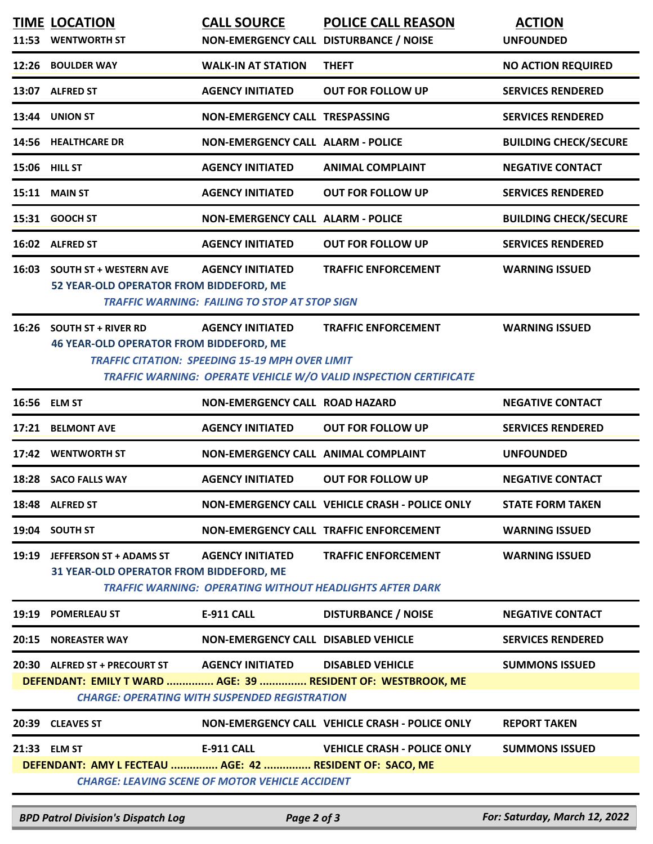|       | <b>TIME LOCATION</b><br>11:53 WENTWORTH ST                                                    | <b>CALL SOURCE</b><br>NON-EMERGENCY CALL DISTURBANCE / NOISE                      | <b>POLICE CALL REASON</b>                                                                       | <b>ACTION</b><br><b>UNFOUNDED</b> |
|-------|-----------------------------------------------------------------------------------------------|-----------------------------------------------------------------------------------|-------------------------------------------------------------------------------------------------|-----------------------------------|
|       | 12:26 BOULDER WAY                                                                             | <b>WALK-IN AT STATION</b>                                                         | <b>THEFT</b>                                                                                    | <b>NO ACTION REQUIRED</b>         |
|       | 13:07 ALFRED ST                                                                               | <b>AGENCY INITIATED</b>                                                           | <b>OUT FOR FOLLOW UP</b>                                                                        | <b>SERVICES RENDERED</b>          |
|       | 13:44 UNION ST                                                                                | NON-EMERGENCY CALL TRESPASSING                                                    |                                                                                                 | <b>SERVICES RENDERED</b>          |
|       | 14:56 HEALTHCARE DR                                                                           | <b>NON-EMERGENCY CALL ALARM - POLICE</b>                                          |                                                                                                 | <b>BUILDING CHECK/SECURE</b>      |
|       | 15:06 HILL ST                                                                                 | <b>AGENCY INITIATED</b>                                                           | <b>ANIMAL COMPLAINT</b>                                                                         | <b>NEGATIVE CONTACT</b>           |
|       | 15:11 MAIN ST                                                                                 | <b>AGENCY INITIATED</b>                                                           | <b>OUT FOR FOLLOW UP</b>                                                                        | <b>SERVICES RENDERED</b>          |
|       | 15:31 GOOCH ST                                                                                | <b>NON-EMERGENCY CALL ALARM - POLICE</b>                                          |                                                                                                 | <b>BUILDING CHECK/SECURE</b>      |
|       | 16:02 ALFRED ST                                                                               | <b>AGENCY INITIATED</b>                                                           | <b>OUT FOR FOLLOW UP</b>                                                                        | <b>SERVICES RENDERED</b>          |
|       | 16:03 SOUTH ST + WESTERN AVE<br>52 YEAR-OLD OPERATOR FROM BIDDEFORD, ME                       | <b>AGENCY INITIATED</b><br><b>TRAFFIC WARNING: FAILING TO STOP AT STOP SIGN</b>   | <b>TRAFFIC ENFORCEMENT</b>                                                                      | <b>WARNING ISSUED</b>             |
| 16:26 | <b>SOUTH ST + RIVER RD</b><br><b>46 YEAR-OLD OPERATOR FROM BIDDEFORD, ME</b>                  | <b>AGENCY INITIATED</b><br><b>TRAFFIC CITATION: SPEEDING 15-19 MPH OVER LIMIT</b> | <b>TRAFFIC ENFORCEMENT</b><br>TRAFFIC WARNING: OPERATE VEHICLE W/O VALID INSPECTION CERTIFICATE | <b>WARNING ISSUED</b>             |
| 16:56 | <b>ELM ST</b>                                                                                 | <b>NON-EMERGENCY CALL ROAD HAZARD</b>                                             |                                                                                                 | <b>NEGATIVE CONTACT</b>           |
| 17:21 | <b>BELMONT AVE</b>                                                                            | <b>AGENCY INITIATED</b>                                                           | <b>OUT FOR FOLLOW UP</b>                                                                        | <b>SERVICES RENDERED</b>          |
| 17:42 | <b>WENTWORTH ST</b>                                                                           | NON-EMERGENCY CALL ANIMAL COMPLAINT                                               |                                                                                                 | <b>UNFOUNDED</b>                  |
|       | 18:28 SACO FALLS WAY                                                                          | <b>AGENCY INITIATED</b>                                                           | <b>OUT FOR FOLLOW UP</b>                                                                        | <b>NEGATIVE CONTACT</b>           |
|       | 18:48 ALFRED ST                                                                               |                                                                                   | NON-EMERGENCY CALL VEHICLE CRASH - POLICE ONLY                                                  | <b>STATE FORM TAKEN</b>           |
|       | 19:04 SOUTH ST                                                                                |                                                                                   | NON-EMERGENCY CALL TRAFFIC ENFORCEMENT                                                          | <b>WARNING ISSUED</b>             |
|       | 19:19 JEFFERSON ST + ADAMS ST<br>31 YEAR-OLD OPERATOR FROM BIDDEFORD, ME                      | <b>AGENCY INITIATED</b>                                                           | <b>TRAFFIC ENFORCEMENT</b><br><b>TRAFFIC WARNING: OPERATING WITHOUT HEADLIGHTS AFTER DARK</b>   | <b>WARNING ISSUED</b>             |
|       | 19:19 POMERLEAU ST                                                                            | E-911 CALL                                                                        | <b>DISTURBANCE / NOISE</b>                                                                      | <b>NEGATIVE CONTACT</b>           |
|       | 20:15 NOREASTER WAY                                                                           | NON-EMERGENCY CALL DISABLED VEHICLE                                               |                                                                                                 | <b>SERVICES RENDERED</b>          |
|       | 20:30 ALFRED ST + PRECOURT ST<br>DEFENDANT: EMILY T WARD  AGE: 39  RESIDENT OF: WESTBROOK, ME | <b>AGENCY INITIATED</b><br><b>CHARGE: OPERATING WITH SUSPENDED REGISTRATION</b>   | <b>DISABLED VEHICLE</b>                                                                         | <b>SUMMONS ISSUED</b>             |
|       | 20:39 CLEAVES ST                                                                              |                                                                                   | NON-EMERGENCY CALL VEHICLE CRASH - POLICE ONLY                                                  | <b>REPORT TAKEN</b>               |
|       | 21:33 ELM ST<br>DEFENDANT: AMY L FECTEAU  AGE: 42  RESIDENT OF: SACO, ME                      | <b>E-911 CALL</b><br><b>CHARGE: LEAVING SCENE OF MOTOR VEHICLE ACCIDENT</b>       | <b>VEHICLE CRASH - POLICE ONLY</b>                                                              | <b>SUMMONS ISSUED</b>             |